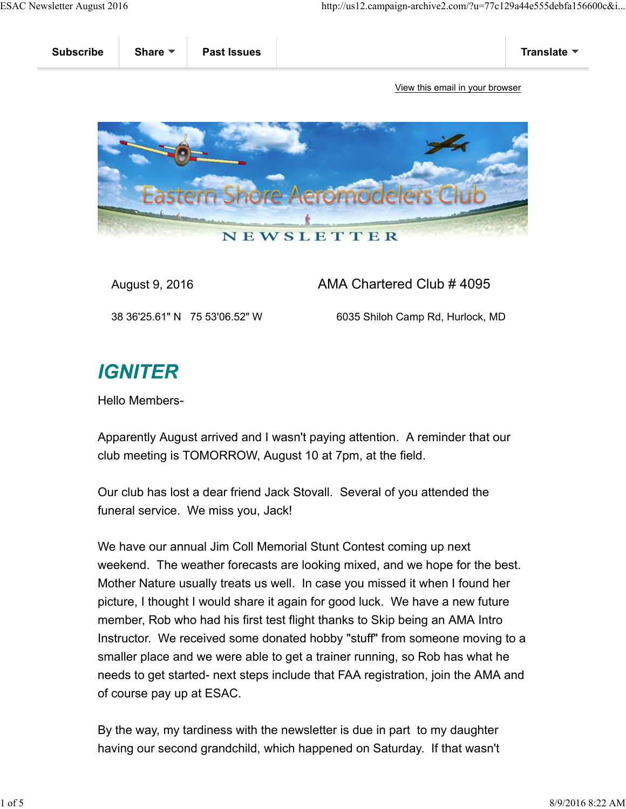

August 9, 2016 **AMA Chartered Club # 4095** 

38 36'25.61" N 75 53'06.52" W 6035 Shiloh Camp Rd, Hurlock, MD

## **IGNITER**

Hello Members-

Apparently August arrived and I wasn't paying attention. A reminder that our club meeting is TOMORROW, August 10 at 7pm, at the field.

Our club has lost a dear friend Jack Stovall. Several of you attended the funeral service. We miss you, Jack!

We have our annual Jim Coll Memorial Stunt Contest coming up next weekend. The weather forecasts are looking mixed, and we hope for the best. Mother Nature usually treats us well. In case you missed it when I found her picture, I thought I would share it again for good luck. We have a new future member, Rob who had his first test flight thanks to Skip being an AMA Intro Instructor. We received some donated hobby "stuff" from someone moving to a smaller place and we were able to get a trainer running, so Rob has what he needs to get started- next steps include that FAA registration, join the AMA and of course pay up at ESAC.

By the way, my tardiness with the newsletter is due in part to my daughter having our second grandchild, which happened on Saturday. If that wasn't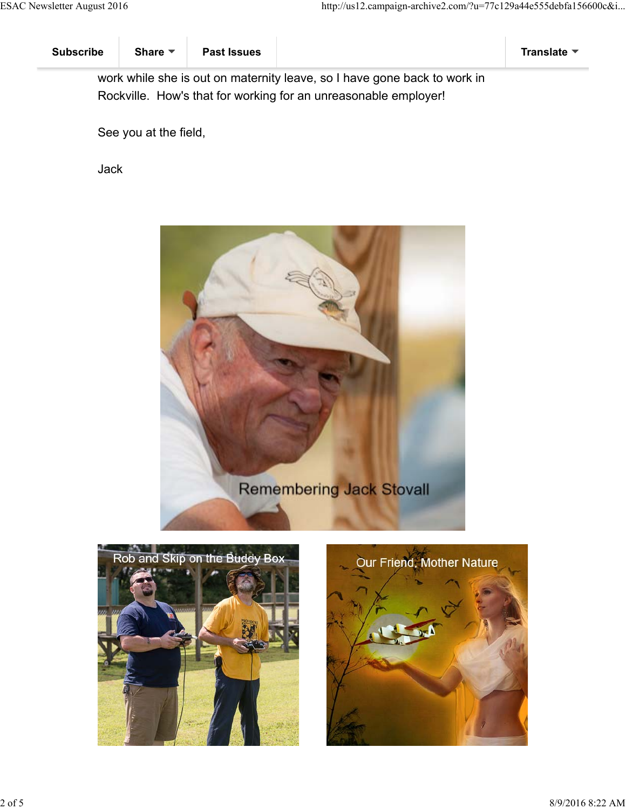work while she is out on maternity leave, so I have gone back to work in Rockville. How's that for working for an unreasonable employer!

See you at the field,

Jack





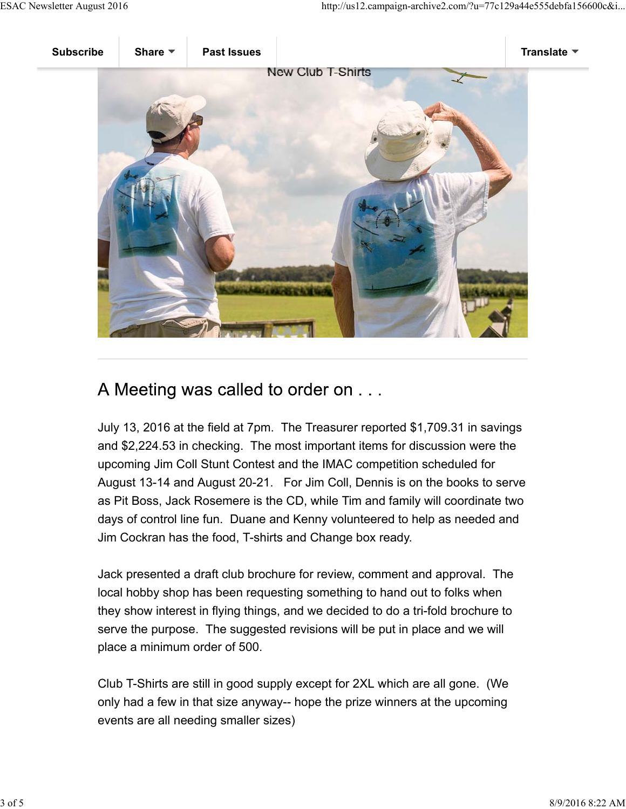

## A Meeting was called to order on . . .

July 13, 2016 at the field at 7pm. The Treasurer reported \$1,709.31 in savings and \$2,224.53 in checking. The most important items for discussion were the upcoming Jim Coll Stunt Contest and the IMAC competition scheduled for August 13-14 and August 20-21. For Jim Coll, Dennis is on the books to serve as Pit Boss, Jack Rosemere is the CD, while Tim and family will coordinate two days of control line fun. Duane and Kenny volunteered to help as needed and Jim Cockran has the food, T-shirts and Change box ready.

Jack presented a draft club brochure for review, comment and approval. The local hobby shop has been requesting something to hand out to folks when they show interest in flying things, and we decided to do a tri-fold brochure to serve the purpose. The suggested revisions will be put in place and we will place a minimum order of 500.

Club T-Shirts are still in good supply except for 2XL which are all gone. (We only had a few in that size anyway-- hope the prize winners at the upcoming events are all needing smaller sizes)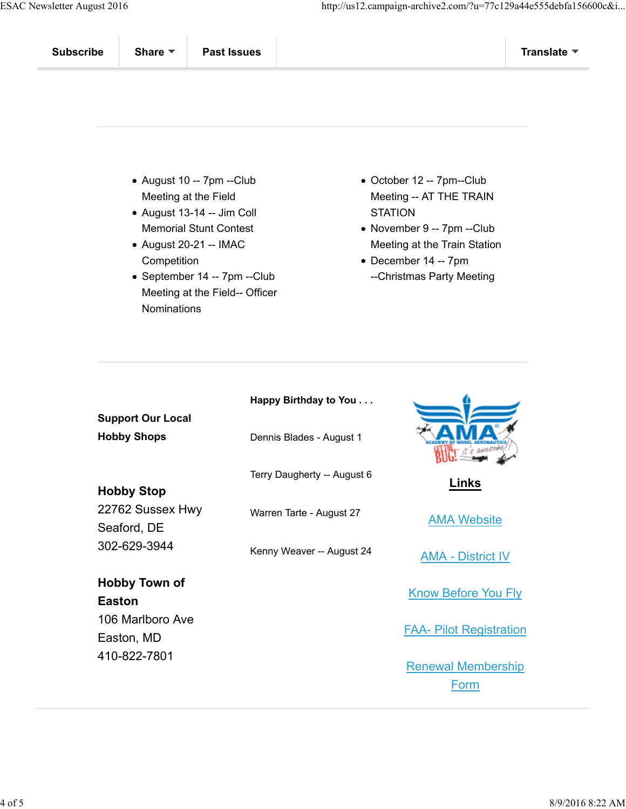- August 10 -- 7pm --Club Meeting at the Field
- August 13-14 -- Jim Coll Memorial Stunt Contest
- August 20-21 -- IMAC **Competition**
- September 14 -- 7pm --Club Meeting at the Field-- Officer **Nominations**
- October 12 -- 7pm--Club Meeting -- AT THE TRAIN **STATION**
- November 9 -- 7pm --Club Meeting at the Train Station
- December 14 -- 7pm --Christmas Party Meeting

| <b>Support Our Local</b>                                             | Happy Birthday to You       |                                   |
|----------------------------------------------------------------------|-----------------------------|-----------------------------------|
| <b>Hobby Shops</b>                                                   | Dennis Blades - August 1    |                                   |
| <b>Hobby Stop</b><br>22762 Sussex Hwy<br>Seaford, DE<br>302-629-3944 | Terry Daugherty -- August 6 | Links                             |
|                                                                      | Warren Tarte - August 27    | <b>AMA Website</b>                |
|                                                                      | Kenny Weaver -- August 24   | <b>AMA - District IV</b>          |
| <b>Hobby Town of</b><br><b>Easton</b>                                |                             | <b>Know Before You Fly</b>        |
| 106 Marlboro Ave<br>Easton, MD                                       |                             | <b>FAA- Pilot Registration</b>    |
| 410-822-7801                                                         |                             | <b>Renewal Membership</b><br>Form |